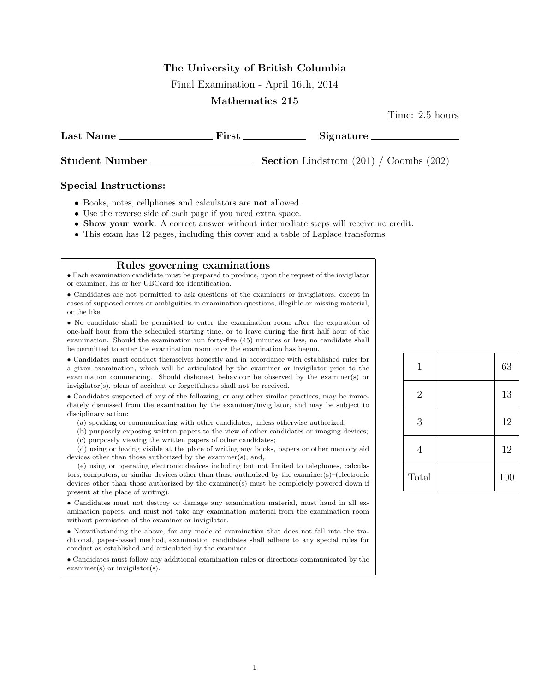### The University of British Columbia

Final Examination - April 16th, 2014

#### Mathematics 215

Time: 2.5 hours

Last Name First Signature

Student Number Section Lindstrom (201) / Coombs (202)

#### Special Instructions:

- Books, notes, cellphones and calculators are not allowed.
- Use the reverse side of each page if you need extra space.
- Show your work. A correct answer without intermediate steps will receive no credit.
- This exam has 12 pages, including this cover and a table of Laplace transforms.

#### Rules governing examinations

• Each examination candidate must be prepared to produce, upon the request of the invigilator or examiner, his or her UBCcard for identification.

• Candidates are not permitted to ask questions of the examiners or invigilators, except in cases of supposed errors or ambiguities in examination questions, illegible or missing material, or the like.

• No candidate shall be permitted to enter the examination room after the expiration of one-half hour from the scheduled starting time, or to leave during the first half hour of the examination. Should the examination run forty-five (45) minutes or less, no candidate shall be permitted to enter the examination room once the examination has begun.

• Candidates must conduct themselves honestly and in accordance with established rules for a given examination, which will be articulated by the examiner or invigilator prior to the examination commencing. Should dishonest behaviour be observed by the examiner(s) or invigilator(s), pleas of accident or forgetfulness shall not be received.

• Candidates suspected of any of the following, or any other similar practices, may be immediately dismissed from the examination by the examiner/invigilator, and may be subject to disciplinary action:

- (a) speaking or communicating with other candidates, unless otherwise authorized;
- (b) purposely exposing written papers to the view of other candidates or imaging devices;
- (c) purposely viewing the written papers of other candidates;

(d) using or having visible at the place of writing any books, papers or other memory aid devices other than those authorized by the examiner(s); and,

(e) using or operating electronic devices including but not limited to telephones, calculators, computers, or similar devices other than those authorized by the examiner(s)–(electronic devices other than those authorized by the examiner(s) must be completely powered down if present at the place of writing).

• Candidates must not destroy or damage any examination material, must hand in all examination papers, and must not take any examination material from the examination room without permission of the examiner or invigilator.

• Notwithstanding the above, for any mode of examination that does not fall into the traditional, paper-based method, examination candidates shall adhere to any special rules for conduct as established and articulated by the examiner.

• Candidates must follow any additional examination rules or directions communicated by the examiner(s) or invigilator(s).

| 1              | 63  |
|----------------|-----|
| $\overline{2}$ | 13  |
| 3              | 12  |
| 4              | 12  |
| Total          | 100 |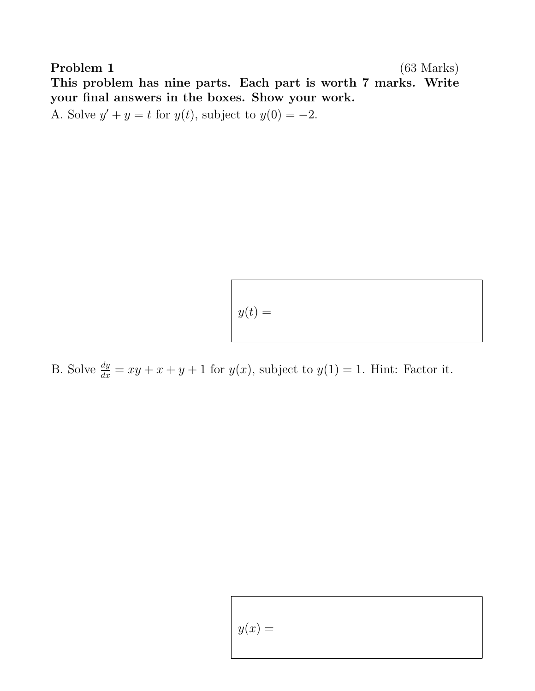Problem 1 (63 Marks) This problem has nine parts. Each part is worth 7 marks. Write your final answers in the boxes. Show your work. A. Solve  $y' + y = t$  for  $y(t)$ , subject to  $y(0) = -2$ .

 $y(t) =$ 

B. Solve  $\frac{dy}{dx} = xy + x + y + 1$  for  $y(x)$ , subject to  $y(1) = 1$ . Hint: Factor it.

Г

$$
y(x) =
$$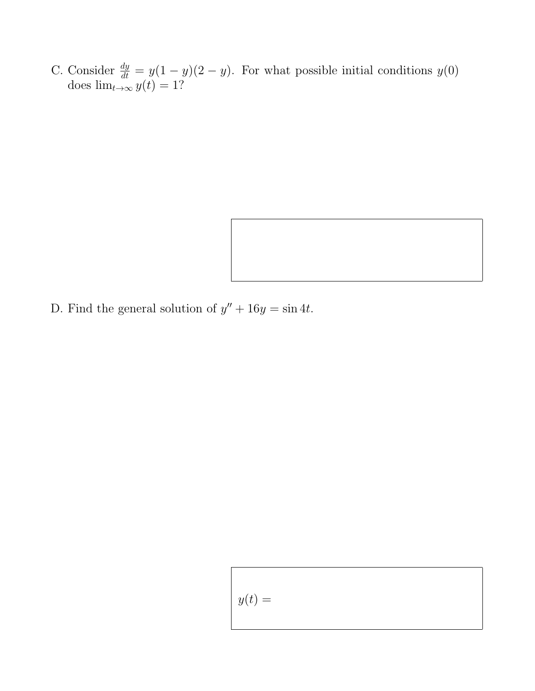C. Consider  $\frac{dy}{dt} = y(1-y)(2-y)$ . For what possible initial conditions  $y(0)$ does  $\lim_{t\to\infty} y(t) = 1$ ?



$$
y(t) =
$$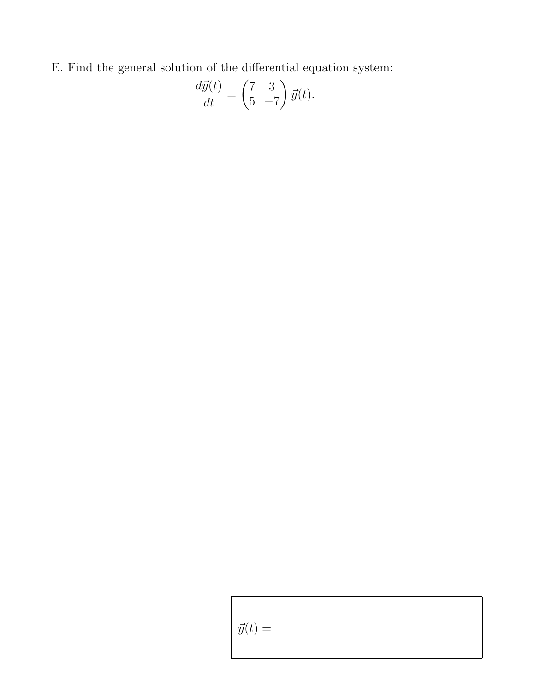E. Find the general solution of the differential equation system:

$$
\frac{d\vec{y}(t)}{dt} = \begin{pmatrix} 7 & 3 \\ 5 & -7 \end{pmatrix} \vec{y}(t).
$$

$$
\vec{y}(t) =
$$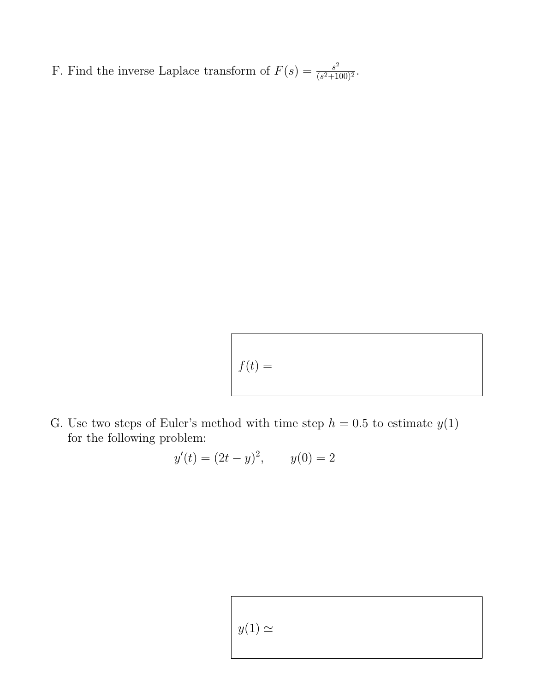F. Find the inverse Laplace transform of  $F(s) = \frac{s^2}{(s^2+1)}$  $\frac{s^2}{(s^2+100)^2}$ .

$$
f(t) =
$$

G. Use two steps of Euler's method with time step  $h = 0.5$  to estimate  $y(1)$ for the following problem:

$$
y'(t) = (2t - y)^2
$$
,  $y(0) = 2$ 

 $y(1) \simeq$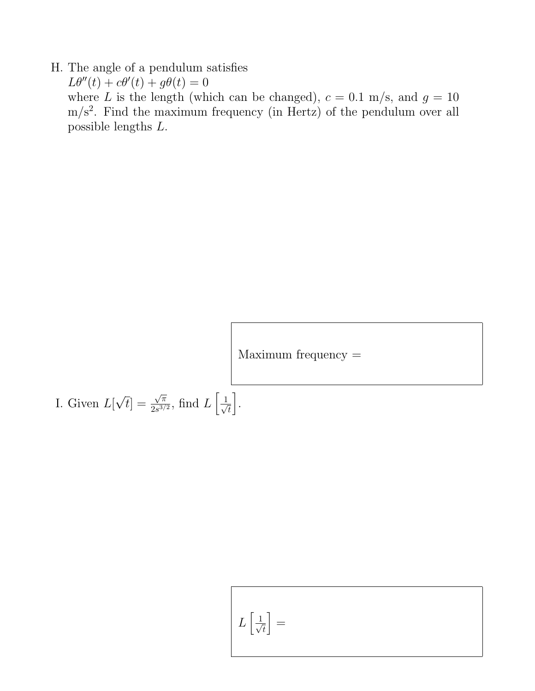### H. The angle of a pendulum satisfies

 $L\theta''(t) + c\theta'(t) + g\theta(t) = 0$ where L is the length (which can be changed),  $c = 0.1$  m/s, and  $g = 10$  $m/s<sup>2</sup>$ . Find the maximum frequency (in Hertz) of the pendulum over all possible lengths L.

Maximum frequency =

I. Given  $L[\sqrt{t}] = \frac{\sqrt{\pi}}{2e^{3}}$  $\frac{\sqrt{\pi}}{2s^{3/2}}$ , find  $L\Big[$  $\frac{1}{\sqrt{2}}$ t i .

$$
L\left[\frac{1}{\sqrt{t}}\right] =
$$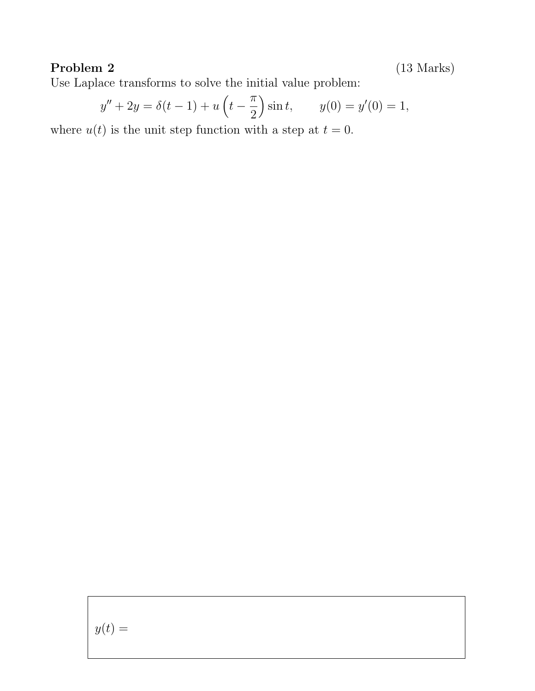### Problem 2 (13 Marks)

Use Laplace transforms to solve the initial value problem:

$$
y'' + 2y = \delta(t - 1) + u\left(t - \frac{\pi}{2}\right)\sin t, \qquad y(0) = y'(0) = 1,
$$

where  $u(t)$  is the unit step function with a step at  $t = 0$ .

 $y(t) =$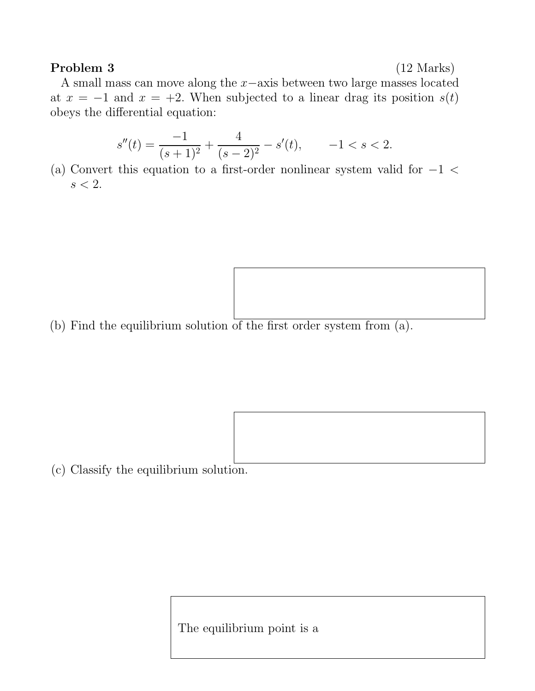### Problem 3 (12 Marks)

A small mass can move along the x−axis between two large masses located at  $x = -1$  and  $x = +2$ . When subjected to a linear drag its position  $s(t)$ obeys the differential equation:

$$
s''(t) = \frac{-1}{(s+1)^2} + \frac{4}{(s-2)^2} - s'(t), \qquad -1 < s < 2.
$$

(a) Convert this equation to a first-order nonlinear system valid for  $-1$  <  $s < 2$ .

(b) Find the equilibrium solution of the first order system from (a).

(c) Classify the equilibrium solution.

The equilibrium point is a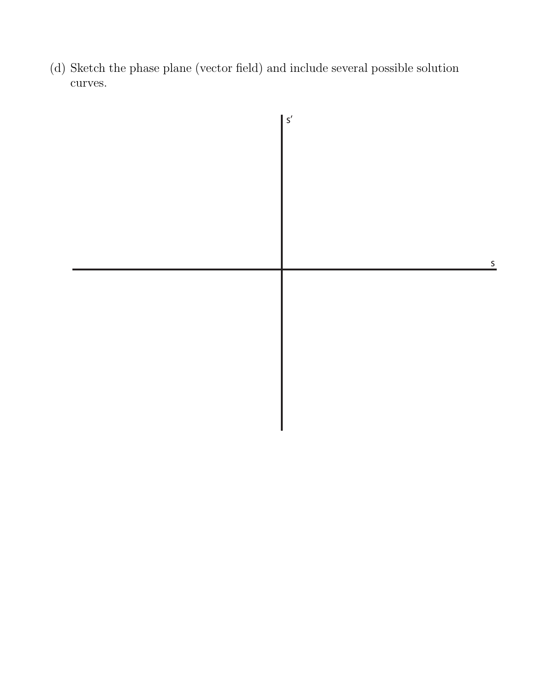(d) Sketch the phase plane (vector field) and include several possible solution curves.

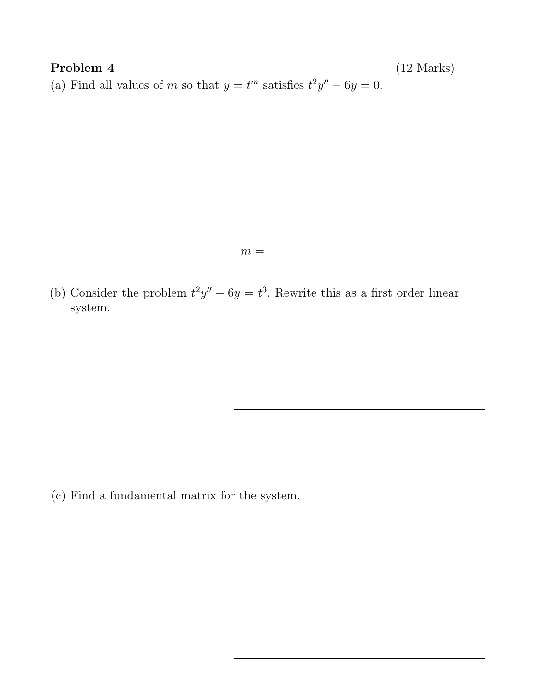# Problem 4 (12 Marks) (a) Find all values of m so that  $y = t^m$  satisfies  $t^2y'' - 6y = 0$ .

$$
m =
$$

(b) Consider the problem  $t^2y'' - 6y = t^3$ . Rewrite this as a first order linear system.

(c) Find a fundamental matrix for the system.

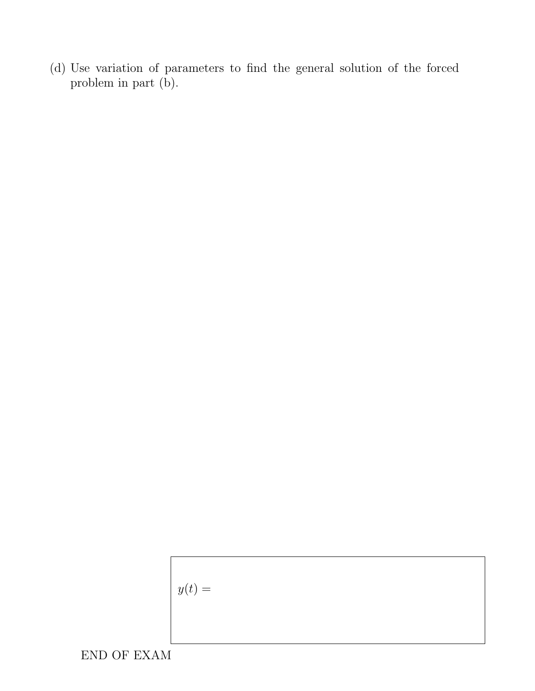(d) Use variation of parameters to find the general solution of the forced problem in part (b).